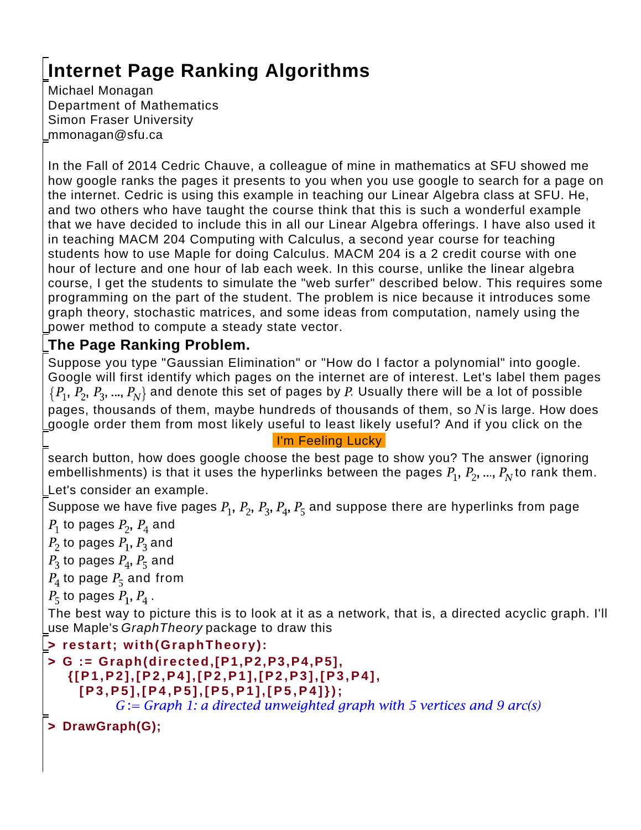# **Internet Page Ranking Algorithms**

Michael Monagan Department of Mathematics Simon Fraser University mmonagan@sfu.ca

In the Fall of 2014 Cedric Chauve, a colleague of mine in mathematics at SFU showed me how google ranks the pages it presents to you when you use google to search for a page on the internet. Cedric is using this example in teaching our Linear Algebra class at SFU. He, and two others who have taught the course think that this is such a wonderful example that we have decided to include this in all our Linear Algebra offerings. I have also used it in teaching MACM 204 Computing with Calculus, a second year course for teaching students how to use Maple for doing Calculus. MACM 204 is a 2 credit course with one hour of lecture and one hour of lab each week. In this course, unlike the linear algebra course, I get the students to simulate the "web surfer" described below. This requires some programming on the part of the student. The problem is nice because it introduces some graph theory, stochastic matrices, and some ideas from computation, namely using the power method to compute a steady state vector.

# **The Page Ranking Problem.**

Suppose you type "Gaussian Elimination" or "How do I factor a polynomial" into google. Google will first identify which pages on the internet are of interest. Let's label them pages  $\{P_1, P_2, P_3, ..., P_N\}$  and denote this set of pages by P. Usually there will be a lot of possible pages, thousands of them, maybe hundreds of thousands of them, so  $N$  is large. How does google order them from most likely useful to least likely useful? And if you click on the

I'm Feeling Lucky

search button, how does google choose the best page to show you? The answer (ignoring embellishments) is that it uses the hyperlinks between the pages  $P_1, P_2, ..., P_N$  to rank them. Let's consider an example.

Suppose we have five pages  $P_1$ ,  $P_2$ ,  $P_3$ ,  $P_4$ ,  $P_5$  and suppose there are hyperlinks from page

 $P_1$  to pages  $P_2$ ,  $P_4$  and

 $P_2$  to pages  $P_1$ ,  $P_3$  and

 $\big| \, P^{}_3$  to pages  $P^{}_4$ ,  $P^{}_5$  and

 $P_4$  to page  $P_5$  and from

 $P_5$  to pages  $P_1, P_4$ .

The best way to picture this is to look at it as a network, that is, a directed acyclic graph. I'll Luse Maple's GraphTheory package to draw this

```
> 
restart; with(GraphTheory):
```

```
> 
G := Graph(directed,[P1,P2,P3,P4,P5],
    {[P1,P2],[P2,P4],[P2,P1],[P2,P3],[P3,P4],
     [P3,P5],[P4,P5],[P5,P1],[P5,P4]});<br>G := Graph 1: a directed unweighted graph with 5 vertices and 9 arc(s)
```

```
> 
DrawGraph(G);
```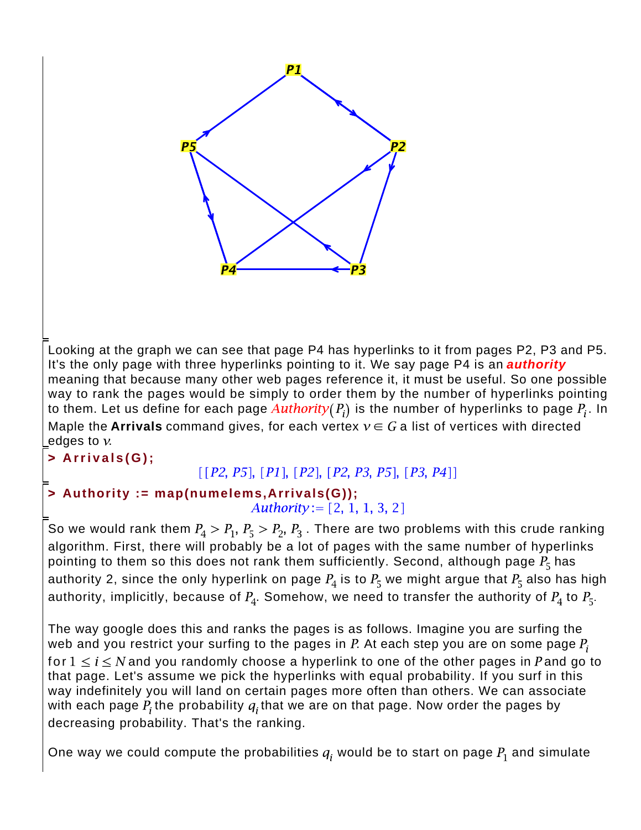

Looking at the graph we can see that page P4 has hyperlinks to it from pages P2, P3 and P5. It's the only page with three hyperlinks pointing to it. We say page P4 is an **authority** meaning that because many other web pages reference it, it must be useful. So one possible way to rank the pages would be simply to order them by the number of hyperlinks pointing to them. Let us define for each page  $\frac{Authority(P_i)}{S}$  is the number of hyperlinks to page  $P_i$ . In Maple the **Arrivals** command gives, for each vertex  $v \in G$  a list of vertices with directed edges to *.* 

### **> Arrivals(G);**

### $[ [ P2, P5], [ P1], [ P2], [ P2, P3, P5], [ P3, P4] ]$

#### **> Authority := map(numelems,Arrivals(G));** Authority:=  $[2, 1, 1, 3, 2]$

So we would rank them  $P_4 > P_1$ ,  $P_5 > P_2$ ,  $P_3$  . There are two problems with this crude ranking algorithm. First, there will probably be a lot of pages with the same number of hyperlinks pointing to them so this does not rank them sufficiently. Second, although page  $P_5$  has authority 2, since the only hyperlink on page  $P_4$  is to  $P_5$  we might argue that  $P_5$  also has high authority, implicitly, because of  $P_4$ . Somehow, we need to transfer the authority of  $P_4$  to  $P_5$ .

The way google does this and ranks the pages is as follows. Imagine you are surfing the web and you restrict your surfing to the pages in  $P$ . At each step you are on some page  $P_i$ for  $1 \le i \le N$  and you randomly choose a hyperlink to one of the other pages in P and go to that page. Let's assume we pick the hyperlinks with equal probability. If you surf in this way indefinitely you will land on certain pages more often than others. We can associate with each page  $P_i$  the probability  $q_i$  that we are on that page. Now order the pages by decreasing probability. That's the ranking.

One way we could compute the probabilities  $q_i$  would be to start on page  $P_1$  and simulate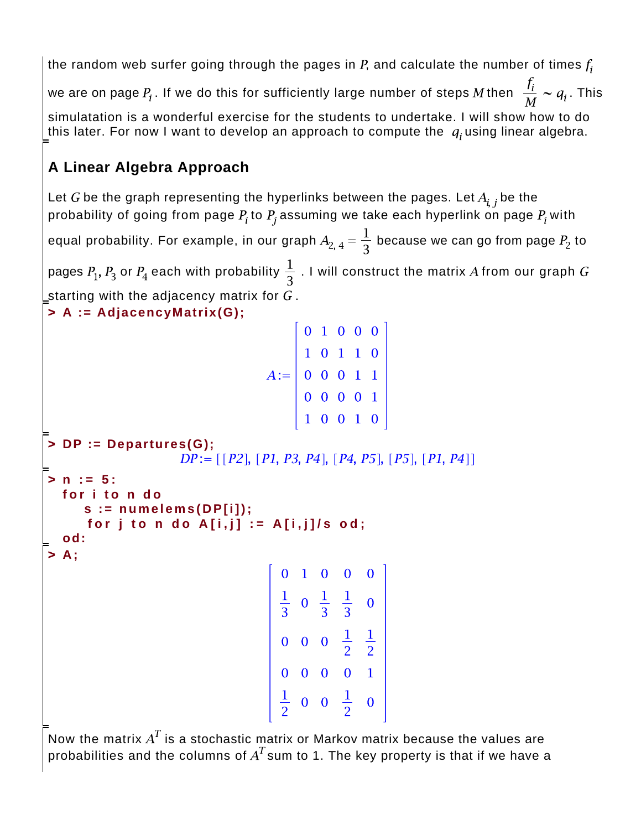the random web surfer going through the pages in P, and calculate the number of times  $f_i$ we are on page  $P_i$ . If we do this for sufficiently large number of steps M then  $\frac{I_i}{M} \sim q_i$ . This simulatation is a wonderful exercise for the students to undertake. I will show how to do this later. For now I want to develop an approach to compute the  $q_i$  using linear algebra.

# **A Linear Algebra Approach**

Let G be the graph representing the hyperlinks between the pages. Let  $A_{i,j}$  be the probability of going from page  $P_i$  to  $P_j$  assuming we take each hyperlink on page  $P_i$  with equal probability. For example, in our graph  $A_{2,4} = \frac{1}{3}$  because we can go from page  $P_2$  to pages  $P_1$ ,  $P_3$  or  $P_4$  each with probability  $\frac{1}{2}$  . I will construct the matrix A from our graph G Lstarting with the adjacency matrix for  $G$  .

```
> 
A := AdjacencyMatrix(G);
```

| $A:= \left[ \begin{array}{rrrrr} 0 & 1 & 0 & 0 & 0 \ 1 & 0 & 1 & 1 & 0 \ 0 & 0 & 0 & 1 & 1 \ 0 & 0 & 0 & 0 & 1 \ 1 & 0 & 0 & 1 & 0 \end{array} \right]$ |  |  |  |
|---------------------------------------------------------------------------------------------------------------------------------------------------------|--|--|--|

```
> 
DP := Departures(G);
                        DP := \left[ [P2], [P1, P3, P4], [P4, P5], [P5], [P1, P4] \right]> 
  n := 5:
          for i to n do
       s := numelems(DP[i]);
        for j to n do A[i,j] := A[i,j]/s od;
  od:
> 
A ;
                                          \begin{bmatrix} 0 & 1 & 0 & 0 & 0 \end{bmatrix}
```

| v              |                | U              | v              | u              |
|----------------|----------------|----------------|----------------|----------------|
| $\frac{1}{3}$  | $\overline{0}$ | $\frac{1}{3}$  | $\frac{1}{3}$  | $\overline{0}$ |
| $\overline{0}$ | $\overline{0}$ | $\overline{0}$ | $\frac{1}{2}$  | $\frac{1}{2}$  |
| $\overline{0}$ | $\overline{0}$ | $\overline{0}$ | $\overline{0}$ | 1              |
| $\frac{1}{2}$  | $\overline{0}$ | $\overline{0}$ | $\frac{1}{2}$  | $\pmb{0}$      |

 $\overline{\phantom{a}}$ Now the matrix  $\overline{A}^T$  is a stochastic matrix or Markov matrix because the values are probabilities and the columns of  $A<sup>T</sup>$  sum to 1. The key property is that if we have a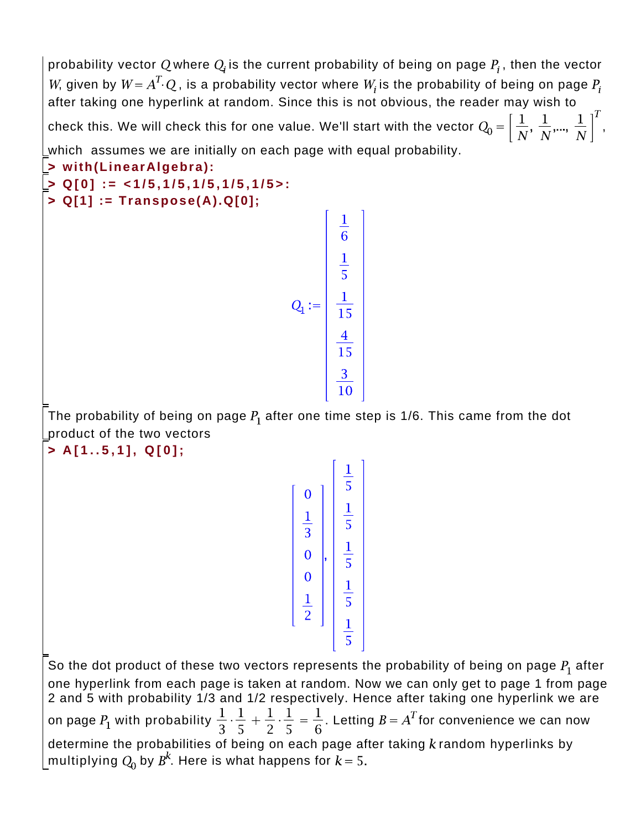probability vector Q where  $Q_i$  is the current probability of being on page  $P_i$ , then the vector W, given by  $W = A^T \cdot Q$ , is a probability vector where  $W_i$  is the probability of being on page  $P_i$ after taking one hyperlink at random. Since this is not obvious, the reader may wish to check this. We will check this for one value. We'll start with the vector  $Q_0 = \left[\frac{1}{N}, \frac{1}{N}, \dots, \frac{1}{N}\right]^T$ , which assumes we are initially on each page with equal probability.

```
> 
with(LinearAlgebra):
> 
Q[0] := <1/5,1/5,1/5,1/5,1/5>:
> 
Q[1] := Transpose(A).Q[0];
                                                                                 Q_1 := \begin{array}{|c|c|} \hline \frac{1}{6} & & \\ \hline \frac{1}{5} & & \\ \hline 15 & & \\ \hline 15 & & \\ \hline 10 & & \\ \hline \end{array}
```
The probability of being on page  $P_1$  after one time step is 1/6. This came from the dot product of the two vectors

**> A[1..5,1], Q[0];**

| $\overline{0}$                  |   | $\frac{1}{5}$ |
|---------------------------------|---|---------------|
| $\frac{1}{3}$                   |   | $\frac{1}{5}$ |
| $\mathbf{0}$                    | ÿ | $\frac{1}{5}$ |
| $\overline{0}$<br>$\frac{1}{2}$ |   | $\frac{1}{5}$ |
|                                 |   | $\frac{1}{5}$ |

So the dot product of these two vectors represents the probability of being on page  $P_1$  after one hyperlink from each page is taken at random. Now we can only get to page 1 from page 2 and 5 with probability 1/3 and 1/2 respectively. Hence after taking one hyperlink we are on page  $P_1$  with probability  $\frac{1}{3} \cdot \frac{1}{5} + \frac{1}{2} \cdot \frac{1}{5} = \frac{1}{6}$ . Letting  $B = A^T$  for convenience we can now determine the probabilities of being on each page after taking  $k$  random hyperlinks by multiplying  $Q_0$  by  $B^k$ . Here is what happens for  $k = 5$ .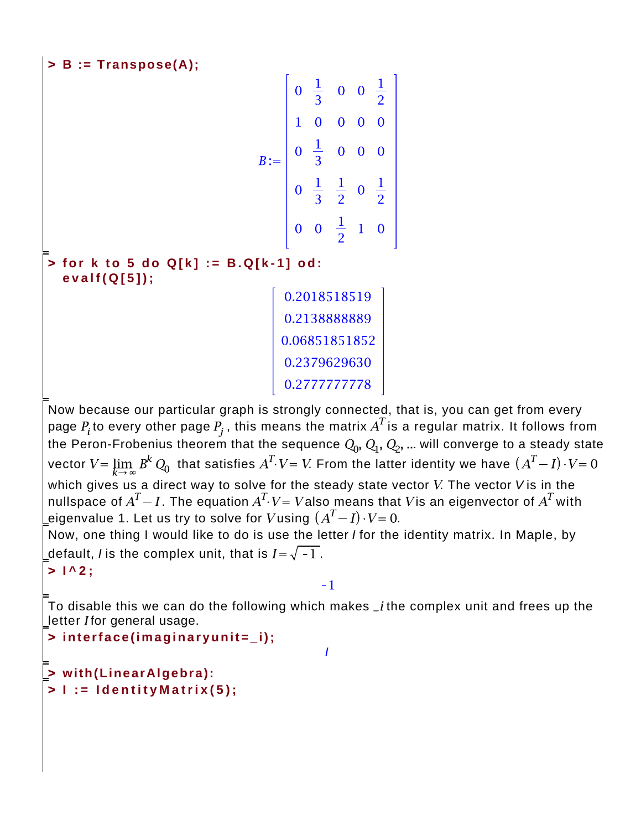**> B := Transpose(A);**  $B := \begin{bmatrix} 0 & \frac{1}{3} & 0 & 0 & \frac{1}{2} \\ 1 & 0 & 0 & 0 & 0 \\ 0 & \frac{1}{3} & 0 & 0 & 0 \\ 0 & \frac{1}{3} & \frac{1}{2} & 0 & \frac{1}{2} \\ 0 & 0 & \frac{1}{2} & 1 & 0 \end{bmatrix}$ **> for k to 5 do Q[k] := B.Q[k-1] od: evalf(Q[5]);** 0.2018518519  $\begin{array}{|c|} \hline 0.2138888889 \ \hline 0.06851851852 \ \hline 0.2379629630 \ \hline \end{array}$ 0.2777777778

Now because our particular graph is strongly connected, that is, you can get from every page  $P_i$  to every other page  $P_j$ , this means the matrix  $A^T$  is a regular matrix. It follows from the Peron-Frobenius theorem that the sequence  $Q_0$ ,  $Q_1$ ,  $Q_2$ , ... will converge to a steady state vector  $V = \lim_{k \to \infty} B^k Q_0$  that satisfies  $A^T V = V$ . From the latter identity we have  $(A^T - I) \cdot V = 0$ which gives us a direct way to solve for the steady state vector V. The vector V is in the nullspace of  $A^T - I$ . The equation  $A^T V = V$  also means that V is an eigenvector of  $A^T$  with eigenvalue 1. Let us try to solve for Vusing  $(A^T-I)\cdot V=0$ . Now, one thing I would like to do is use the letter I for the identity matrix. In Maple, by

**> I^2;** \_default, *I* is the complex unit, that is  $I\!=\!\sqrt{-1}$  .

I

 $-1$ To disable this we can do the following which makes  $_2$  the complex unit and frees up the Lietter *I* for general usage.

**> interface(imaginaryunit=\_i);**

**> I := IdentityMatrix(5);> with(LinearAlgebra):**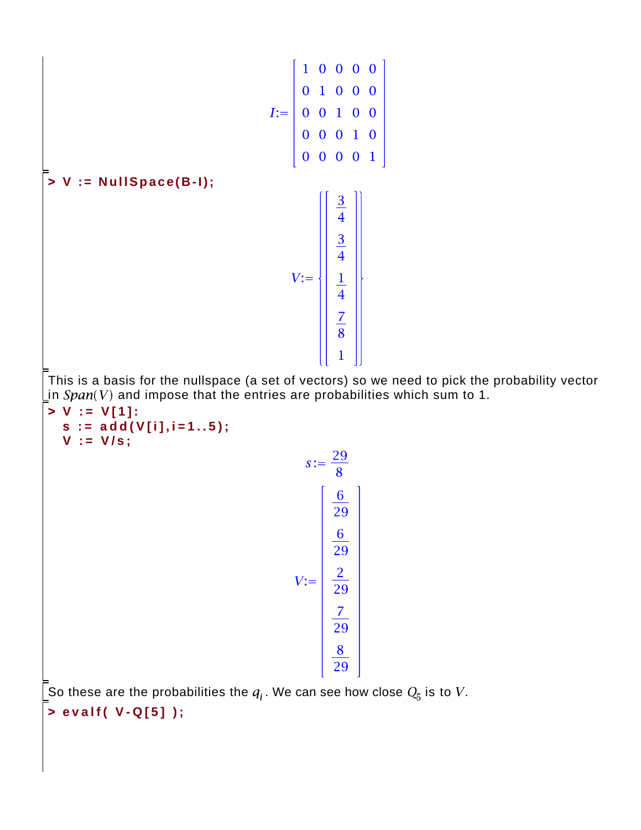| \n $V := \text{NullSpace(B-I)};$ \n                                                          | \n $I := \begin{bmatrix}\n 1 & 0 & 0 & 0 & 0 \\  0 & 1 & 0 & 0 & 0 \\  0 & 0 & 1 & 0 & 0 \\  0 & 0 & 0 & 1 & 0 \\  0 & 0 & 0 & 0 & 1\n \end{bmatrix}$ \n |
|----------------------------------------------------------------------------------------------|----------------------------------------------------------------------------------------------------------------------------------------------------------|
| \n $V := \begin{bmatrix}\n 3 \\  4 \\  \frac{3}{4} \\  \frac{7}{8} \\  1\n \end{bmatrix}$ \n |                                                                                                                                                          |

\nThis is a basis for the nullspace (a set of vectors) so we have:\n \n- $V$  and  $V$  are not possible.
\n- $V$  is a basis for the nullspace (a set of vectors) so we have:\n  $V = \begin{bmatrix}\n 3 & 0 & 0 & 0 \\
 4 & 4 & 0 & 0 \\
 1 & 1 & 0 & 0 \\
 0 & 0 & 0 & 0 & 1\n \end{bmatrix}$ \n\n\n\n

e need to pick the probability vector Lin  $Span(V)$  and impose that the entries are probabilities which sum to 1.

**> V := V[1]:**

**s := add(V[i],i=1..5); V := V/s;**

$$
s := \frac{29}{8}
$$

$$
V := \begin{bmatrix} \frac{6}{29} \\ \frac{6}{29} \\ \frac{2}{29} \\ \frac{7}{29} \\ \frac{8}{29} \end{bmatrix}
$$

So these are the probabilities the  $q_i$ . We can see how close  $Q_5$  is to  $V$ .

**> evalf( V-Q[5] );**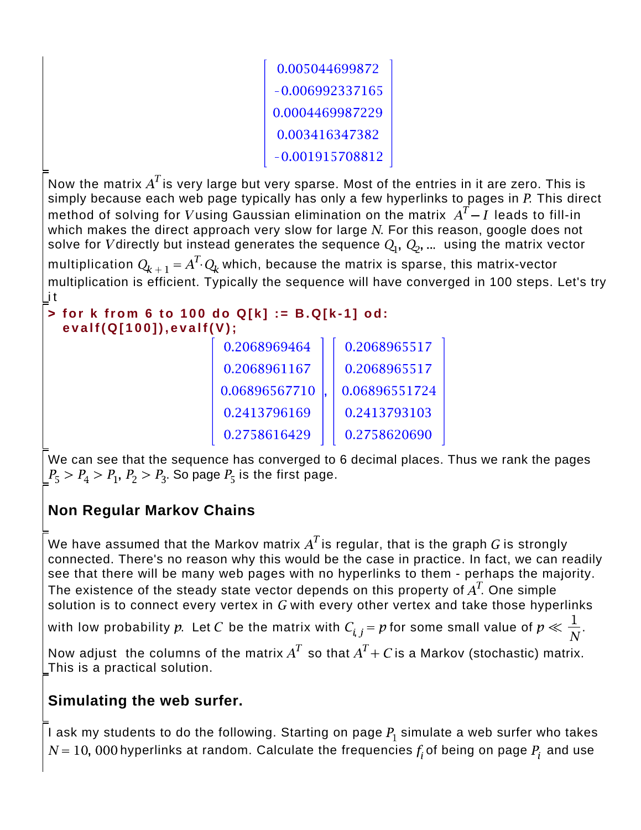0.005044699872  $-0.006992337165  
\n0.0004469987229  
\n0.003416347382  
\n-0.001915708812$ 

Now the matrix  $A<sup>T</sup>$  is very large but very sparse. Most of the entries in it are zero. This is simply because each web page typically has only a few hyperlinks to pages in  $P$ . This direct method of solving for  $V$ using Gaussian elimination on the matrix  $\,A\hskip-3.5pt^{\prime}\hskip-3.5pt - I$  leads to fill-in which makes the direct approach very slow for large  $N$ . For this reason, google does not solve for V directly but instead generates the sequence  $Q_1, Q_2, ...$  using the matrix vector multiplication  $Q_{k+1} = A^T \cdot Q_k$  which, because the matrix is sparse, this matrix-vector multiplication is efficient. Typically the sequence will have converged in 100 steps. Let's try i t

```
> 
for k from 6 to 100 do Q[k] := B.Q[k-1] od:
 evalf(Q[100]),evalf(V);
```

| 0.2068969464  | 0.2068965517  |
|---------------|---------------|
| 0.2068961167  | 0.2068965517  |
| 0.06896567710 | 0.06896551724 |
| 0.2413796169  | 0.2413793103  |
| 0.2758616429  | 0.2758620690  |

-<br>We can see that the sequence has converged to 6 decimal places. Thus we rank the pages  $P_5 > P_4 > P_1$ ,  $P_2 > P_3$ . So page  $P_5$  is the first page.

# **Non Regular Markov Chains**

We have assumed that the Markov matrix  $A<sup>T</sup>$  is regular, that is the graph G is strongly connected. There's no reason why this would be the case in practice. In fact, we can readily see that there will be many web pages with no hyperlinks to them - perhaps the majority. The existence of the steady state vector depends on this property of  $A<sup>T</sup>$ . One simple solution is to connect every vertex in  $G$  with every other vertex and take those hyperlinks

with low probability p. Let C be the matrix with  $C_{i,j} = p$  for some small value of  $p \ll \frac{1}{N}$ .

Now adjust the columns of the matrix  $A<sup>T</sup>$  so that  $A<sup>T</sup> + C$  is a Markov (stochastic) matrix. This is a practical solution.

# **Simulating the web surfer.**

I ask my students to do the following. Starting on page  $P_1$  simulate a web surfer who takes  $N=10$ , 000 hyperlinks at random. Calculate the frequencies  $f_i$  of being on page  $P_i$  and use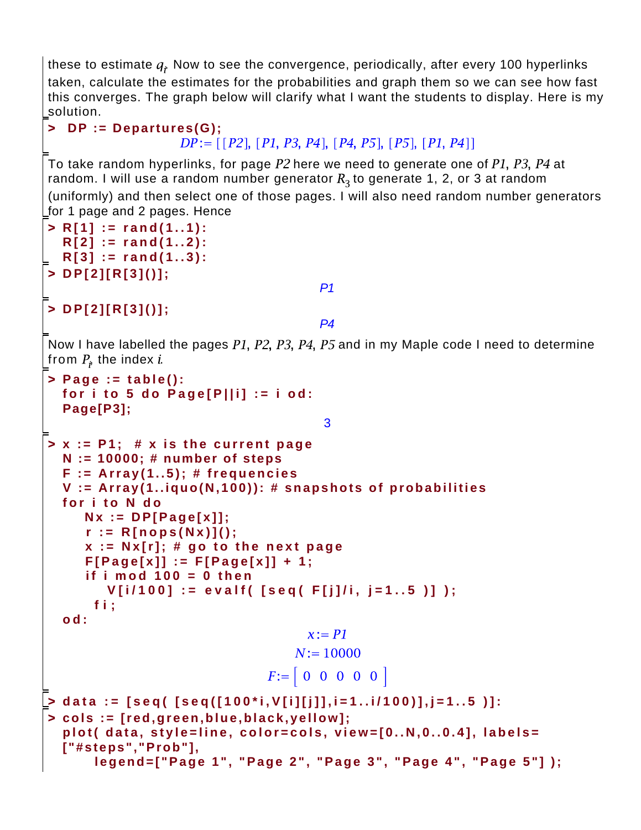these to estimate  $q<sub>r</sub>$ . Now to see the convergence, periodically, after every 100 hyperlinks taken, calculate the estimates for the probabilities and graph them so we can see how fast this converges. The graph below will clarify what I want the students to display. Here is my solution.

### **> DP := Departures(G);**

### $DP := \left[ [P2], [P1, P3, P4], [P4, P5], [P5], [P1, P4] \right]$

To take random hyperlinks, for page  $P2$  here we need to generate one of  $P1$ ,  $P3$ ,  $P4$  at random. I will use a random number generator  $R_3$  to generate 1, 2, or 3 at random

(uniformly) and then select one of those pages. I will also need random number generators for 1 page and 2 pages. Hence

```
> 
R[1] := rand(1..1):
  R[2] := rand(1..2):
  R[3] := rand(1..3):
> 
DP[2][R[3]()];
                                        P<sub>1</sub>> 
DP[2][R[3]()];
                                        P4
Now I have labelled the pages P1, P2, P3, P4, P5 and in my Maple code I need to determine
from P_i, the index i.
> 
Page := table():
  for i to 5 do Page[P||i] := i od:
  Page[P3];
                                         3
> 
x := P1; # x is the current page
  N := 10000; # number of steps
  F := Array(1..5); # frequencies
  V := Array(1..iquo(N,100)): # snapshots of probabilities
  for i to N do
      Nx := DP[Page[x]];
       r := R[nops(Nx)]();
       x := Nx[r]; # go to the next page
       F[Page[x]] := F[Page[x]] + 1;
       if i mod 100 = 0 then
          V[i/100] := evalf( [seq( F[j]/i, j=1..5 )] );
        fi; 
  od: 
                                      x := P1N = 10000F := \begin{bmatrix} 0 & 0 & 0 & 0 & 0 \end{bmatrix}> 
data := [seq( [seq([100*i,V[i][j]],i=1..i/100)],j=1..5 )]:
> 
cols := [red,green,blue,black,yellow];
  plot( data, style=line, color=cols, view=[0..N,0..0.4], labels=
  ["#steps","Prob"],
        legend=["Page 1", "Page 2", "Page 3", "Page 4", "Page 5"] );
```